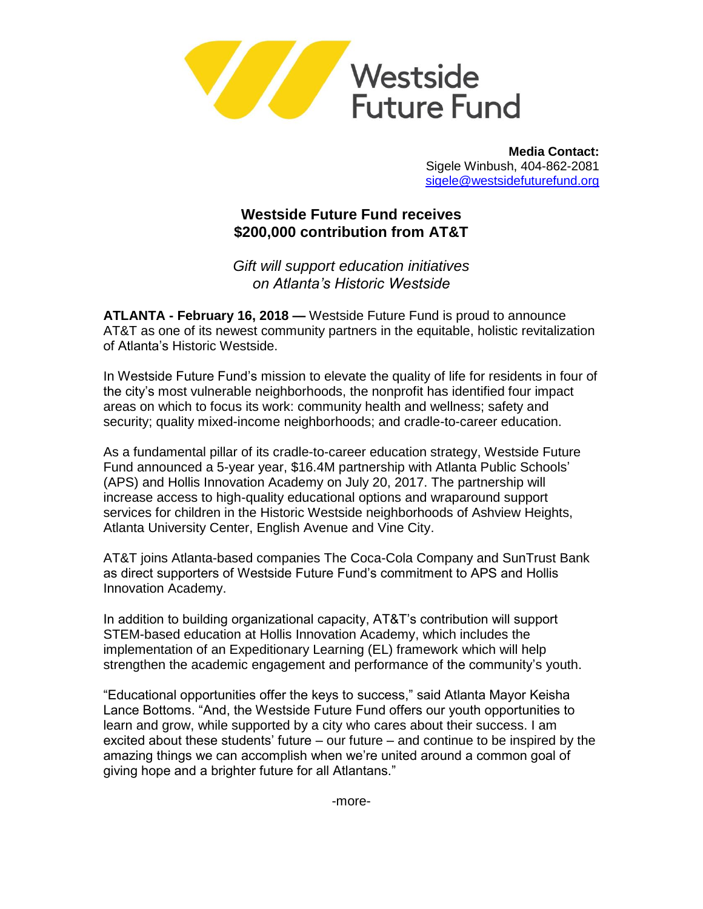

**Media Contact:** Sigele Winbush, 404-862-2081 [sigele@westsidefuturefund.org](mailto:sigele@westsidefuturefund.org)

## **Westside Future Fund receives \$200,000 contribution from AT&T**

*Gift will support education initiatives on Atlanta's Historic Westside* 

**ATLANTA - February 16, 2018 —** Westside Future Fund is proud to announce AT&T as one of its newest community partners in the equitable, holistic revitalization of Atlanta's Historic Westside.

In Westside Future Fund's mission to elevate the quality of life for residents in four of the city's most vulnerable neighborhoods, the nonprofit has identified four impact areas on which to focus its work: community health and wellness; safety and security; quality mixed-income neighborhoods; and cradle-to-career education.

As a fundamental pillar of its cradle-to-career education strategy, Westside Future Fund announced a 5-year year, \$16.4M partnership with Atlanta Public Schools' (APS) and Hollis Innovation Academy on July 20, 2017. The partnership will increase access to high-quality educational options and wraparound support services for children in the Historic Westside neighborhoods of Ashview Heights, Atlanta University Center, English Avenue and Vine City.

AT&T joins Atlanta-based companies The Coca-Cola Company and SunTrust Bank as direct supporters of Westside Future Fund's commitment to APS and Hollis Innovation Academy.

In addition to building organizational capacity, AT&T's contribution will support STEM-based education at Hollis Innovation Academy, which includes the implementation of an Expeditionary Learning (EL) framework which will help strengthen the academic engagement and performance of the community's youth.

"Educational opportunities offer the keys to success," said Atlanta Mayor Keisha Lance Bottoms. "And, the Westside Future Fund offers our youth opportunities to learn and grow, while supported by a city who cares about their success. I am excited about these students' future – our future – and continue to be inspired by the amazing things we can accomplish when we're united around a common goal of giving hope and a brighter future for all Atlantans."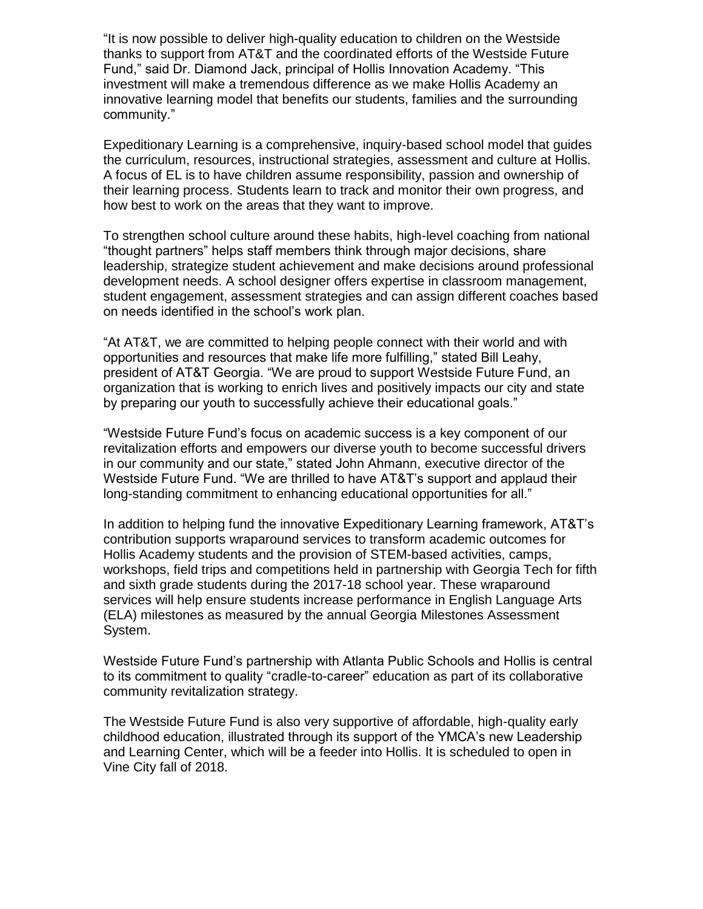"It is now possible to deliver high-quality education to children on the Westside thanks to support from AT&T and the coordinated efforts of the Westside Future Fund," said Dr. Diamond Jack, principal of Hollis Innovation Academy. "This investment will make a tremendous difference as we make Hollis Academy an innovative learning model that benefits our students, families and the surrounding community."

Expeditionary Learning is a comprehensive, inquiry-based school model that guides the curriculum, resources, instructional strategies, assessment and culture at Hollis. A focus of EL is to have children assume responsibility, passion and ownership of their learning process. Students learn to track and monitor their own progress, and how best to work on the areas that they want to improve.

To strengthen school culture around these habits, high-level coaching from national "thought partners" helps staff members think through major decisions, share leadership, strategize student achievement and make decisions around professional development needs. A school designer offers expertise in classroom management, student engagement, assessment strategies and can assign different coaches based on needs identified in the school's work plan.

"At AT&T, we are committed to helping people connect with their world and with opportunities and resources that make life more fulfilling," stated Bill Leahy, president of AT&T Georgia. "We are proud to support Westside Future Fund, an organization that is working to enrich lives and positively impacts our city and state by preparing our youth to successfully achieve their educational goals."

"Westside Future Fund's focus on academic success is a key component of our revitalization efforts and empowers our diverse youth to become successful drivers in our community and our state," stated John Ahmann, executive director of the Westside Future Fund. "We are thrilled to have AT&T's support and applaud their long-standing commitment to enhancing educational opportunities for all."

In addition to helping fund the innovative Expeditionary Learning framework, AT&T's contribution supports wraparound services to transform academic outcomes for Hollis Academy students and the provision of STEM-based activities, camps, workshops, field trips and competitions held in partnership with Georgia Tech for fifth and sixth grade students during the 2017-18 school year. These wraparound services will help ensure students increase performance in English Language Arts (ELA) milestones as measured by the annual Georgia Milestones Assessment System.

Westside Future Fund's partnership with Atlanta Public Schools and Hollis is central to its commitment to quality "cradle-to-career" education as part of its collaborative community revitalization strategy.

The Westside Future Fund is also very supportive of affordable, high-quality early childhood education, illustrated through its support of the YMCA's new Leadership and Learning Center, which will be a feeder into Hollis. It is scheduled to open in Vine City fall of 2018.